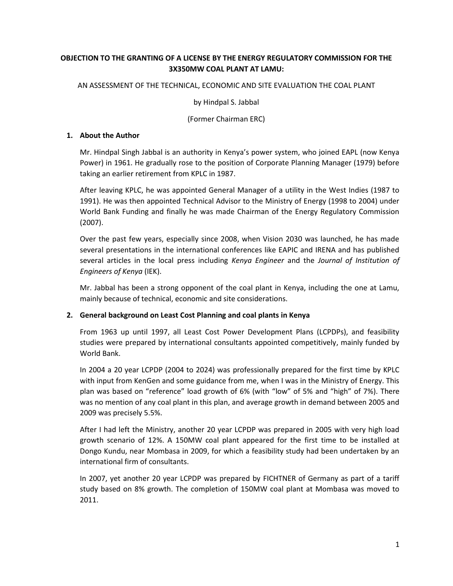# **OBJECTION TO THE GRANTING OF A LICENSE BY THE ENERGY REGULATORY COMMISSION FOR THE 3X350MW COAL PLANT AT LAMU:**

### AN ASSESSMENT OF THE TECHNICAL, ECONOMIC AND SITE EVALUATION THE COAL PLANT

by Hindpal S. Jabbal

(Former Chairman ERC)

### **1. About the Author**

Mr. Hindpal Singh Jabbal is an authority in Kenya's power system, who joined EAPL (now Kenya Power) in 1961. He gradually rose to the position of Corporate Planning Manager (1979) before taking an earlier retirement from KPLC in 1987.

After leaving KPLC, he was appointed General Manager of a utility in the West Indies (1987 to 1991). He was then appointed Technical Advisor to the Ministry of Energy (1998 to 2004) under World Bank Funding and finally he was made Chairman of the Energy Regulatory Commission (2007).

Over the past few years, especially since 2008, when Vision 2030 was launched, he has made several presentations in the international conferences like EAPIC and IRENA and has published several articles in the local press including *Kenya Engineer* and the *Journal of Institution of Engineers of Kenya* (IEK).

Mr. Jabbal has been a strong opponent of the coal plant in Kenya, including the one at Lamu, mainly because of technical, economic and site considerations.

## **2. General background on Least Cost Planning and coal plants in Kenya**

From 1963 up until 1997, all Least Cost Power Development Plans (LCPDPs), and feasibility studies were prepared by international consultants appointed competitively, mainly funded by World Bank.

In 2004 a 20 year LCPDP (2004 to 2024) was professionally prepared for the first time by KPLC with input from KenGen and some guidance from me, when I was in the Ministry of Energy. This plan was based on "reference" load growth of 6% (with "low" of 5% and "high" of 7%). There was no mention of any coal plant in this plan, and average growth in demand between 2005 and 2009 was precisely 5.5%.

After I had left the Ministry, another 20 year LCPDP was prepared in 2005 with very high load growth scenario of 12%. A 150MW coal plant appeared for the first time to be installed at Dongo Kundu, near Mombasa in 2009, for which a feasibility study had been undertaken by an international firm of consultants.

In 2007, yet another 20 year LCPDP was prepared by FICHTNER of Germany as part of a tariff study based on 8% growth. The completion of 150MW coal plant at Mombasa was moved to 2011.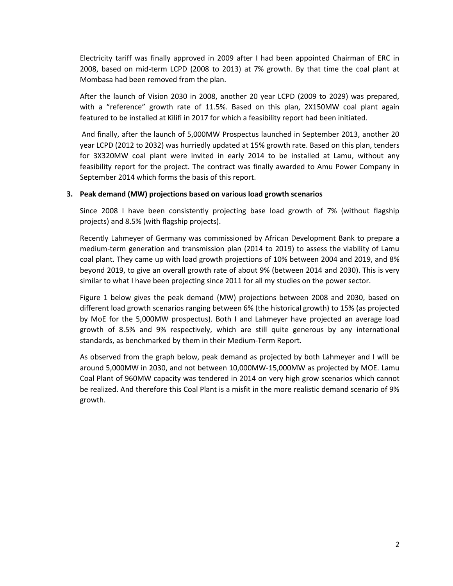Electricity tariff was finally approved in 2009 after I had been appointed Chairman of ERC in 2008, based on mid-term LCPD (2008 to 2013) at 7% growth. By that time the coal plant at Mombasa had been removed from the plan.

After the launch of Vision 2030 in 2008, another 20 year LCPD (2009 to 2029) was prepared, with a "reference" growth rate of 11.5%. Based on this plan, 2X150MW coal plant again featured to be installed at Kilifi in 2017 for which a feasibility report had been initiated.

And finally, after the launch of 5,000MW Prospectus launched in September 2013, another 20 year LCPD (2012 to 2032) was hurriedly updated at 15% growth rate. Based on this plan, tenders for 3X320MW coal plant were invited in early 2014 to be installed at Lamu, without any feasibility report for the project. The contract was finally awarded to Amu Power Company in September 2014 which forms the basis of this report.

### **3. Peak demand (MW) projections based on various load growth scenarios**

Since 2008 I have been consistently projecting base load growth of 7% (without flagship projects) and 8.5% (with flagship projects).

Recently Lahmeyer of Germany was commissioned by African Development Bank to prepare a medium-term generation and transmission plan (2014 to 2019) to assess the viability of Lamu coal plant. They came up with load growth projections of 10% between 2004 and 2019, and 8% beyond 2019, to give an overall growth rate of about 9% (between 2014 and 2030). This is very similar to what I have been projecting since 2011 for all my studies on the power sector.

Figure 1 below gives the peak demand (MW) projections between 2008 and 2030, based on different load growth scenarios ranging between 6% (the historical growth) to 15% (as projected by MoE for the 5,000MW prospectus). Both I and Lahmeyer have projected an average load growth of 8.5% and 9% respectively, which are still quite generous by any international standards, as benchmarked by them in their Medium-Term Report.

As observed from the graph below, peak demand as projected by both Lahmeyer and I will be around 5,000MW in 2030, and not between 10,000MW-15,000MW as projected by MOE. Lamu Coal Plant of 960MW capacity was tendered in 2014 on very high grow scenarios which cannot be realized. And therefore this Coal Plant is a misfit in the more realistic demand scenario of 9% growth.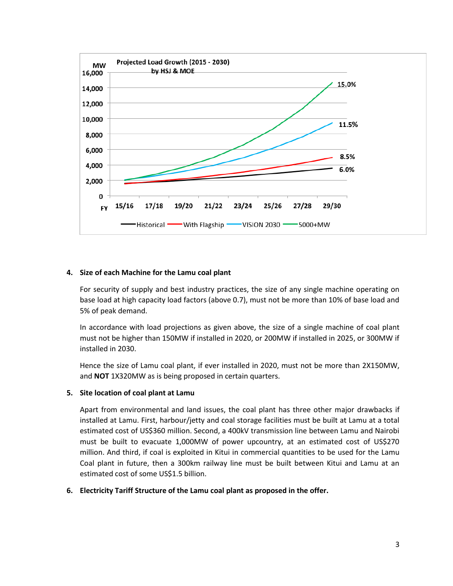

### **4. Size of each Machine for the Lamu coal plant**

For security of supply and best industry practices, the size of any single machine operating on base load at high capacity load factors (above 0.7), must not be more than 10% of base load and 5% of peak demand.

In accordance with load projections as given above, the size of a single machine of coal plant must not be higher than 150MW if installed in 2020, or 200MW if installed in 2025, or 300MW if installed in 2030.

Hence the size of Lamu coal plant, if ever installed in 2020, must not be more than 2X150MW, and **NOT** 1X320MW as is being proposed in certain quarters.

### **5. Site location of coal plant at Lamu**

Apart from environmental and land issues, the coal plant has three other major drawbacks if installed at Lamu. First, harbour/jetty and coal storage facilities must be built at Lamu at a total estimated cost of US\$360 million. Second, a 400kV transmission line between Lamu and Nairobi must be built to evacuate 1,000MW of power upcountry, at an estimated cost of US\$270 million. And third, if coal is exploited in Kitui in commercial quantities to be used for the Lamu Coal plant in future, then a 300km railway line must be built between Kitui and Lamu at an estimated cost of some US\$1.5 billion.

### **6. Electricity Tariff Structure of the Lamu coal plant as proposed in the offer.**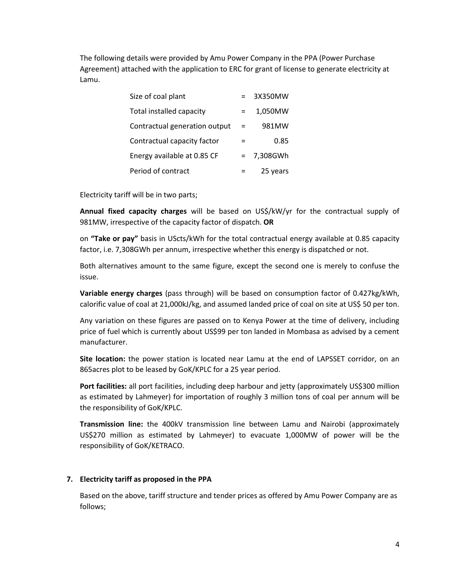The following details were provided by Amu Power Company in the PPA (Power Purchase Agreement) attached with the application to ERC for grant of license to generate electricity at Lamu.

| Size of coal plant              |     | 3X350MW  |
|---------------------------------|-----|----------|
| <b>Total installed capacity</b> |     | 1,050MW  |
| Contractual generation output   | $=$ | 981MW    |
| Contractual capacity factor     | $=$ | 0.85     |
| Energy available at 0.85 CF     | $=$ | 7,308GWh |
| Period of contract              |     | 25 years |

Electricity tariff will be in two parts;

**Annual fixed capacity charges** will be based on US\$/kW/yr for the contractual supply of 981MW, irrespective of the capacity factor of dispatch. **OR**

on **"Take or pay"** basis in UScts/kWh for the total contractual energy available at 0.85 capacity factor, i.e. 7,308GWh per annum, irrespective whether this energy is dispatched or not.

Both alternatives amount to the same figure, except the second one is merely to confuse the issue.

**Variable energy charges** (pass through) will be based on consumption factor of 0.427kg/kWh, calorific value of coal at 21,000kJ/kg, and assumed landed price of coal on site at US\$ 50 per ton.

Any variation on these figures are passed on to Kenya Power at the time of delivery, including price of fuel which is currently about US\$99 per ton landed in Mombasa as advised by a cement manufacturer.

**Site location:** the power station is located near Lamu at the end of LAPSSET corridor, on an 865acres plot to be leased by GoK/KPLC for a 25 year period.

**Port facilities:** all port facilities, including deep harbour and jetty (approximately US\$300 million as estimated by Lahmeyer) for importation of roughly 3 million tons of coal per annum will be the responsibility of GoK/KPLC.

**Transmission line:** the 400kV transmission line between Lamu and Nairobi (approximately US\$270 million as estimated by Lahmeyer) to evacuate 1,000MW of power will be the responsibility of GoK/KETRACO.

### **7. Electricity tariff as proposed in the PPA**

Based on the above, tariff structure and tender prices as offered by Amu Power Company are as follows;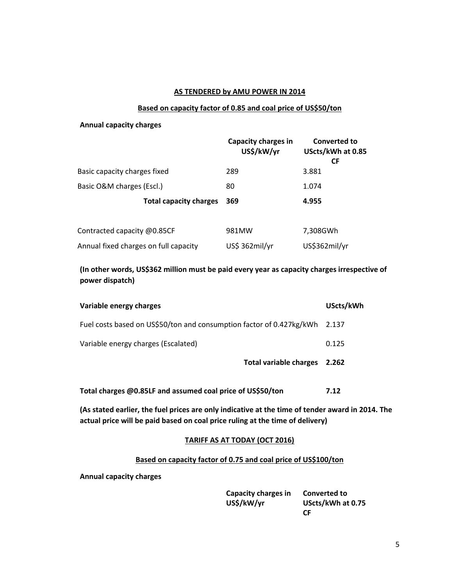#### **AS TENDERED by AMU POWER IN 2014**

#### **Based on capacity factor of 0.85 and coal price of US\$50/ton**

#### **Annual capacity charges**

|                                       | <b>Capacity charges in</b><br>US\$/kW/yr | Converted to<br>UScts/kWh at 0.85<br><b>CF</b> |
|---------------------------------------|------------------------------------------|------------------------------------------------|
| Basic capacity charges fixed          | 289                                      | 3.881                                          |
| Basic O&M charges (Escl.)             | 80                                       | 1.074                                          |
| <b>Total capacity charges</b>         | 369                                      | 4.955                                          |
|                                       |                                          |                                                |
| Contracted capacity @0.85CF           | 981MW                                    | 7,308GWh                                       |
| Annual fixed charges on full capacity | US\$ 362mil/yr                           | US\$362mil/yr                                  |

## **(In other words, US\$362 million must be paid every year as capacity charges irrespective of power dispatch)**

| Variable energy charges                                                    | UScts/kWh |
|----------------------------------------------------------------------------|-----------|
| Fuel costs based on US\$50/ton and consumption factor of 0.427kg/kWh 2.137 |           |
| Variable energy charges (Escalated)                                        | 0.125     |
| <b>Total variable charges</b>                                              | 2.262     |
|                                                                            |           |

**Total charges @0.85LF and assumed coal price of US\$50/ton 7.12**

**(As stated earlier, the fuel prices are only indicative at the time of tender award in 2014. The actual price will be paid based on coal price ruling at the time of delivery)**

#### **TARIFF AS AT TODAY (OCT 2016)**

### **Based on capacity factor of 0.75 and coal price of US\$100/ton**

**Annual capacity charges**

| Capacity charges in | <b>Converted to</b> |
|---------------------|---------------------|
| US\$/kW/yr          | UScts/kWh at 0.75   |
|                     | CF.                 |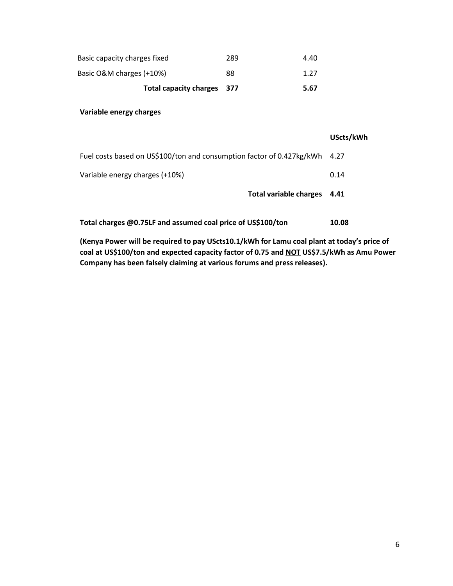|                              | Total capacity charges 377 |     | 5.67 |
|------------------------------|----------------------------|-----|------|
| Basic O&M charges (+10%)     |                            | 88  | 1.27 |
| Basic capacity charges fixed |                            | 289 | 4.40 |

### **Variable energy charges**

|                                                                       | UScts/kWh |
|-----------------------------------------------------------------------|-----------|
| Fuel costs based on US\$100/ton and consumption factor of 0.427kg/kWh | 4.27      |
| Variable energy charges (+10%)                                        | 0.14      |
| Total variable charges                                                | 4.41      |
| Total charges @0.75LF and assumed coal price of US\$100/ton           | 10.08     |

**(Kenya Power will be required to pay UScts10.1/kWh for Lamu coal plant at today's price of coal at US\$100/ton and expected capacity factor of 0.75 and NOT US\$7.5/kWh as Amu Power Company has been falsely claiming at various forums and press releases).**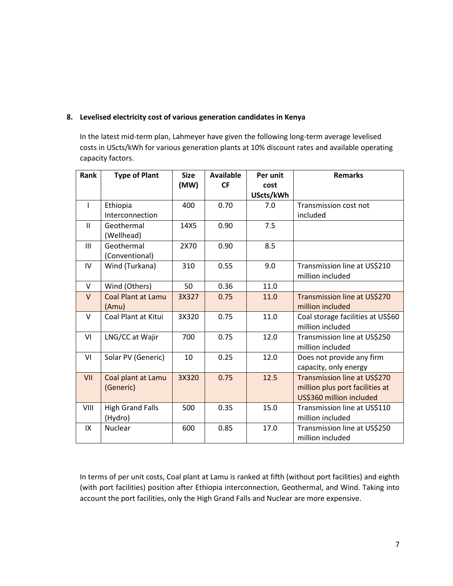## **8. Levelised electricity cost of various generation candidates in Kenya**

In the latest mid-term plan, Lahmeyer have given the following long-term average levelised costs in UScts/kWh for various generation plants at 10% discount rates and available operating capacity factors.

| Rank         | <b>Type of Plant</b>      | <b>Size</b> | <b>Available</b> | Per unit  | <b>Remarks</b>                    |
|--------------|---------------------------|-------------|------------------|-----------|-----------------------------------|
|              |                           | (MW)        | <b>CF</b>        | cost      |                                   |
|              |                           |             |                  | UScts/kWh |                                   |
| $\mathbf{I}$ | Ethiopia                  | 400         | 0.70             | 7.0       | Transmission cost not             |
|              | Interconnection           |             |                  |           | included                          |
| $\mathbf{H}$ | Geothermal                | 14X5        | 0.90             | 7.5       |                                   |
|              | (Wellhead)                |             |                  |           |                                   |
| III          | Geothermal                | 2X70        | 0.90             | 8.5       |                                   |
|              | (Conventional)            |             |                  |           |                                   |
| IV           | Wind (Turkana)            | 310         | 0.55             | 9.0       | Transmission line at US\$210      |
|              |                           |             |                  |           | million included                  |
| $\vee$       | Wind (Others)             | 50          | 0.36             | 11.0      |                                   |
| $\vee$       | <b>Coal Plant at Lamu</b> | 3X327       | 0.75             | 11.0      | Transmission line at US\$270      |
|              | (Amu)                     |             |                  |           | million included                  |
| $\vee$       | Coal Plant at Kitui       | 3X320       | 0.75             | 11.0      | Coal storage facilities at US\$60 |
|              |                           |             |                  |           | million included                  |
| VI           | LNG/CC at Wajir           | 700         | 0.75             | 12.0      | Transmission line at US\$250      |
|              |                           |             |                  |           | million included                  |
| VI           | Solar PV (Generic)        | 10          | 0.25             | 12.0      | Does not provide any firm         |
|              |                           |             |                  |           | capacity, only energy             |
| VII          | Coal plant at Lamu        | 3X320       | 0.75             | 12.5      | Transmission line at US\$270      |
|              | (Generic)                 |             |                  |           | million plus port facilities at   |
|              |                           |             |                  |           | US\$360 million included          |
| VIII         | <b>High Grand Falls</b>   | 500         | 0.35             | 15.0      | Transmission line at US\$110      |
|              | (Hydro)                   |             |                  |           | million included                  |
| IX           | <b>Nuclear</b>            | 600         | 0.85             | 17.0      | Transmission line at US\$250      |
|              |                           |             |                  |           | million included                  |

In terms of per unit costs, Coal plant at Lamu is ranked at fifth (without port facilities) and eighth (with port facilities) position after Ethiopia interconnection, Geothermal, and Wind. Taking into account the port facilities, only the High Grand Falls and Nuclear are more expensive.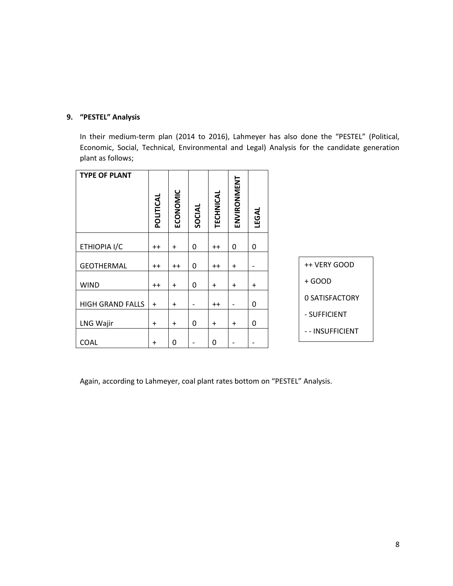# **9. "PESTEL" Analysis**

In their medium-term plan (2014 to 2016), Lahmeyer has also done the "PESTEL" (Political, Economic, Social, Technical, Environmental and Legal) Analysis for the candidate generation plant as follows;

| <b>TYPE OF PLANT</b>    | POLITICAL | ECONOMIC  | SOCIAL                   | TECHNICAL | ENVIRONMENT              | <b>LEGAL</b>             |
|-------------------------|-----------|-----------|--------------------------|-----------|--------------------------|--------------------------|
| ETHIOPIA I/C            | $^{++}$   | $\ddot{}$ | 0                        | $++$      | 0                        | $\mathbf{0}$             |
| <b>GEOTHERMAL</b>       | $++$      | $++$      | 0                        | $++$      | $+$                      | $\overline{\phantom{0}}$ |
| <b>WIND</b>             | $^{++}$   | $+$       | 0                        | $+$       | $+$                      | $\ddot{}$                |
| <b>HIGH GRAND FALLS</b> | $\ddot{}$ | $\ddot{}$ | $\overline{\phantom{a}}$ | $++$      | $\overline{\phantom{a}}$ | 0                        |
| LNG Wajir               | $\ddot{}$ | $\ddot{}$ | 0                        | $+$       | $\ddot{}$                | 0                        |
| <b>COAL</b>             | $\ddot{}$ | 0         | $\overline{\phantom{a}}$ | 0         | -                        |                          |

Again, according to Lahmeyer, coal plant rates bottom on "PESTEL" Analysis.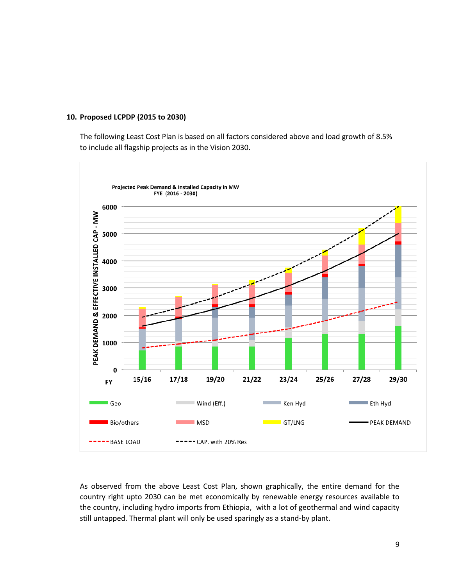### **10. Proposed LCPDP (2015 to 2030)**

The following Least Cost Plan is based on all factors considered above and load growth of 8.5% to include all flagship projects as in the Vision 2030.



As observed from the above Least Cost Plan, shown graphically, the entire demand for the country right upto 2030 can be met economically by renewable energy resources available to the country, including hydro imports from Ethiopia, with a lot of geothermal and wind capacity still untapped. Thermal plant will only be used sparingly as a stand-by plant.